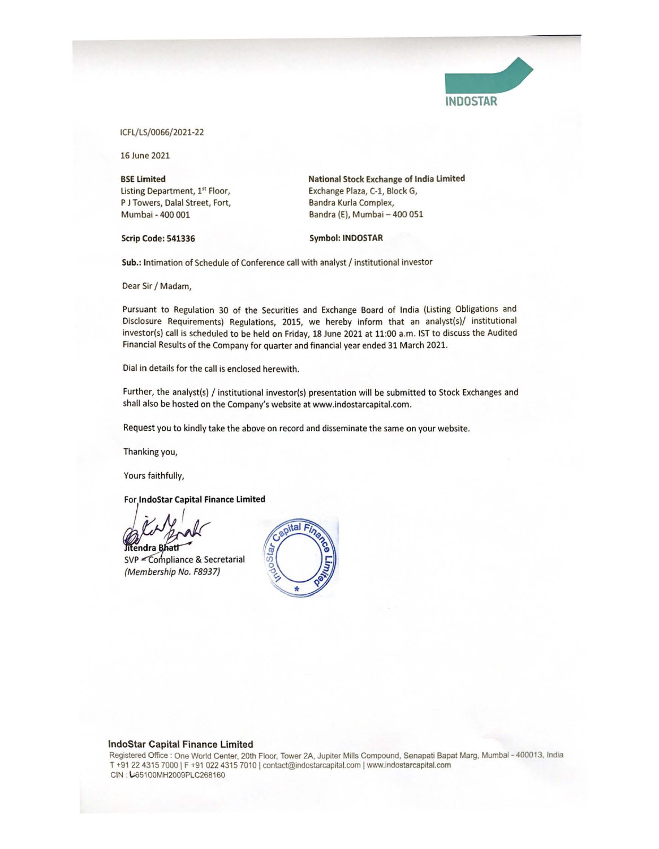

ICFL/LS/0066/2021-22

16 June 2021

**BSE Limited**  Listing Department, 1st Floor, P J Towers, Dalal Street, Fort, Mumbai - 400 001

**Scrip Code: 541336** 

**National Stock Exchange of lndla Limited**  Exchange Plaza, C-1, Block G, Bandra Kurla Complex, Bandra (E), Mumbai - 400 051

## Symbol: **INDOSTAR**

Sub.: Intimation of Schedule of Conference call with analyst / institutional investor

Dear Sir / Madam,

Pursuant to Regulation 30 of the Securities and Exchange Board of India (Listing Obligations and Disclosure Requirements) Regulations, 2015, we hereby inform that an analyst(s)/ institutional investor(s) call is scheduled to be held on Friday, 18 June 2021 at 11:00 a.m. 1ST to discuss the Audited Financial Results of the Company for quarter and financial year ended 31 March 2021.

Dial in details for the call is enclosed herewith.

Further, the analyst(s) / institutional investor(s) presentation will be submitted to Stock Exchanges and shall also be hosted on the Company's website at www.indostarcapital.com.

Request you to kindly take the above on record and disseminate the same on your website.

Thanking you,

Yours faithfully,

## For **lndoStar Capital Finance Limited**

Jitendra Bhatt

SVP <Compliance & Secretarial (Membership No. F8937)



## lndoStar Capital Finance Limited

Registered Office : One World Center, 20th Floor, Tower 2A, Jupiter Mills Compound, Senapati Bapat Marg, Mumbai - 400013. India T +91 22 4315 7000 | F +91 022 4315 7010 | contact@indostarcapital.com | www.indostarcapital.com CIN : l-65100MH2009PLC268160